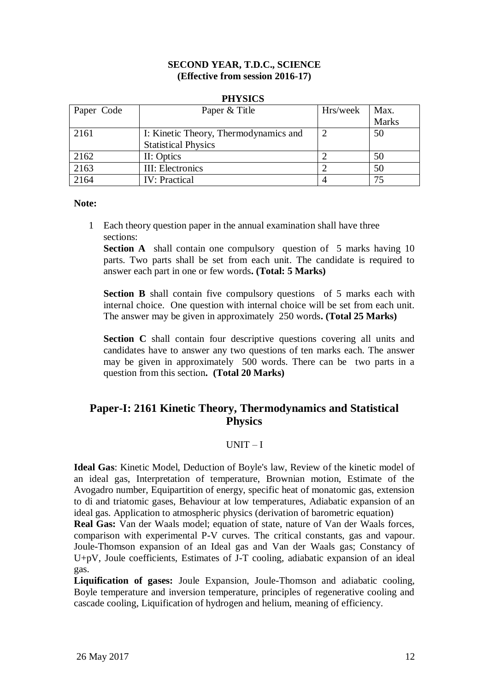#### **SECOND YEAR, T.D.C., SCIENCE (Effective from session 2016-17)**

#### **PHYSICS**

| Paper Code | Paper & Title                         | Hrs/week | Max.         |
|------------|---------------------------------------|----------|--------------|
|            |                                       |          | <b>Marks</b> |
| 2161       | I: Kinetic Theory, Thermodynamics and |          | 50           |
|            | <b>Statistical Physics</b>            |          |              |
| 2162       | II: Optics                            |          | 50           |
| 2163       | III: Electronics                      |          | 50           |
| 2164       | <b>IV:</b> Practical                  |          | 75           |

#### **Note:**

1 Each theory question paper in the annual examination shall have three sections:

**Section A** shall contain one compulsory question of 5 marks having 10 parts. Two parts shall be set from each unit. The candidate is required to answer each part in one or few words**. (Total: 5 Marks)**

**Section B** shall contain five compulsory questions of 5 marks each with internal choice. One question with internal choice will be set from each unit. The answer may be given in approximately 250 words**. (Total 25 Marks)**

**Section C** shall contain four descriptive questions covering all units and candidates have to answer any two questions of ten marks each. The answer may be given in approximately 500 words. There can be two parts in a question from this section**. (Total 20 Marks)**

# **Paper-I: 2161 Kinetic Theory, Thermodynamics and Statistical Physics**

#### $UNIT-I$

**Ideal Gas**: Kinetic Model, Deduction of Boyle's law, Review of the kinetic model of an ideal gas, Interpretation of temperature, Brownian motion, Estimate of the Avogadro number, Equipartition of energy, specific heat of monatomic gas, extension to di and triatomic gases, Behaviour at low temperatures, Adiabatic expansion of an ideal gas. Application to atmospheric physics (derivation of barometric equation)

**Real Gas:** Van der Waals model; equation of state, nature of Van der Waals forces, comparison with experimental P-V curves. The critical constants, gas and vapour. Joule-Thomson expansion of an Ideal gas and Van der Waals gas; Constancy of U+pV, Joule coefficients, Estimates of J-T cooling, adiabatic expansion of an ideal gas.

**Liquification of gases:** Joule Expansion, Joule-Thomson and adiabatic cooling, Boyle temperature and inversion temperature, principles of regenerative cooling and cascade cooling, Liquification of hydrogen and helium, meaning of efficiency.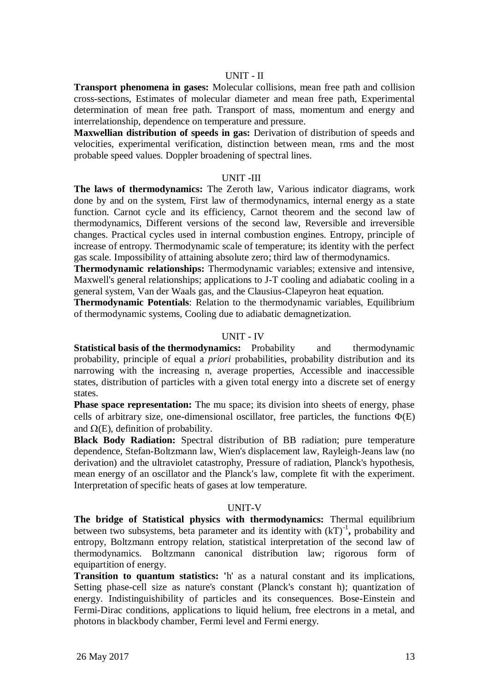**Transport phenomena in gases:** Molecular collisions, mean free path and collision cross-sections, Estimates of molecular diameter and mean free path, Experimental determination of mean free path. Transport of mass, momentum and energy and interrelationship, dependence on temperature and pressure.

**Maxwellian distribution of speeds in gas:** Derivation of distribution of speeds and velocities, experimental verification, distinction between mean, rms and the most probable speed values. Doppler broadening of spectral lines.

#### UNIT -III

**The laws of thermodynamics:** The Zeroth law, Various indicator diagrams, work done by and on the system, First law of thermodynamics, internal energy as a state function. Carnot cycle and its efficiency, Carnot theorem and the second law of thermodynamics, Different versions of the second law, Reversible and irreversible changes. Practical cycles used in internal combustion engines. Entropy, principle of increase of entropy. Thermodynamic scale of temperature; its identity with the perfect gas scale. Impossibility of attaining absolute zero; third law of thermodynamics.

**Thermodynamic relationships:** Thermodynamic variables; extensive and intensive, Maxwell's general relationships; applications to J-T cooling and adiabatic cooling in a general system, Van der Waals gas, and the Clausius-Clapeyron heat equation.

**Thermodynamic Potentials**: Relation to the thermodynamic variables, Equilibrium of thermodynamic systems, Cooling due to adiabatic demagnetization.

### UNIT - IV

**Statistical basis of the thermodynamics:** Probability and thermodynamic probability, principle of equal a *priori* probabilities, probability distribution and its narrowing with the increasing n, average properties, Accessible and inaccessible states, distribution of particles with a given total energy into a discrete set of energy states.

**Phase space representation:** The mu space; its division into sheets of energy, phase cells of arbitrary size, one-dimensional oscillator, free particles, the functions  $\Phi(E)$ and  $\Omega(E)$ , definition of probability.

**Black Body Radiation:** Spectral distribution of BB radiation; pure temperature dependence, Stefan-Boltzmann law, Wien's displacement law, Rayleigh-Jeans law (no derivation) and the ultraviolet catastrophy, Pressure of radiation, Planck's hypothesis, mean energy of an oscillator and the Planck's law, complete fit with the experiment. Interpretation of specific heats of gases at low temperature.

#### UNIT-V

**The bridge of Statistical physics with thermodynamics:** Thermal equilibrium between two subsystems, beta parameter and its identity with  $(kT)^{-1}$ , probability and entropy, Boltzmann entropy relation, statistical interpretation of the second law of thermodynamics. Boltzmann canonical distribution law; rigorous form of equipartition of energy.

**Transition to quantum statistics: '**h' as a natural constant and its implications, Setting phase-cell size as nature's constant (Planck's constant h); quantization of energy. Indistinguishibility of particles and its consequences. Bose-Einstein and Fermi-Dirac conditions, applications to liquid helium, free electrons in a metal, and photons in blackbody chamber, Fermi level and Fermi energy.